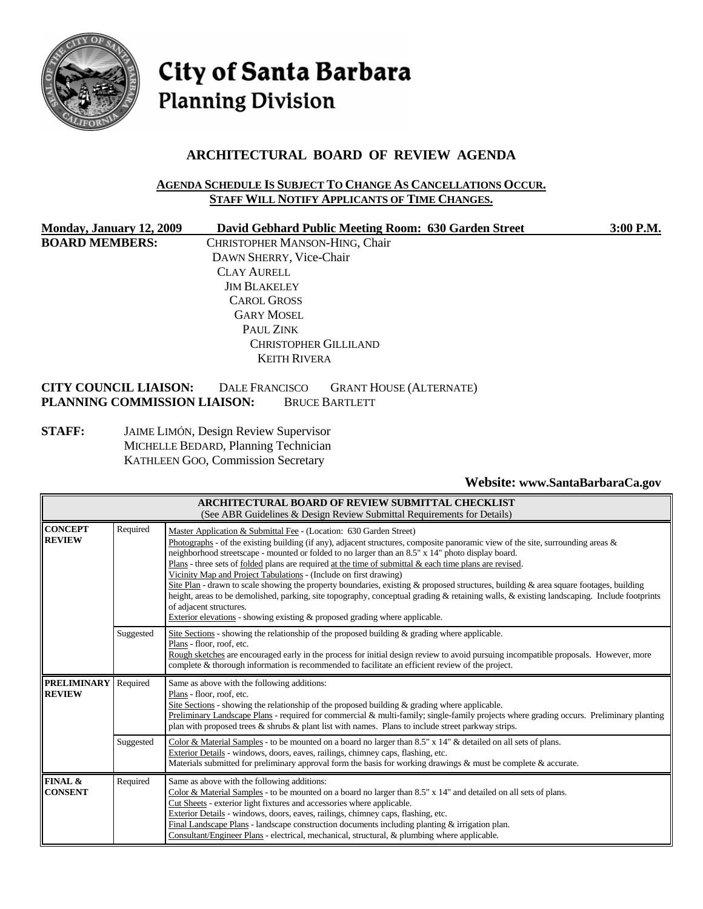

City of Santa Barbara **Planning Division** 

# **ARCHITECTURAL BOARD OF REVIEW AGENDA**

#### **AGENDA SCHEDULE IS SUBJECT TO CHANGE AS CANCELLATIONS OCCUR. STAFF WILL NOTIFY APPLICANTS OF TIME CHANGES.**

| Monday, January 12, 2009     | David Gebhard Public Meeting Room: 630 Garden Street    | 3:00 P.M. |
|------------------------------|---------------------------------------------------------|-----------|
| <b>BOARD MEMBERS:</b>        | CHRISTOPHER MANSON-HING, Chair                          |           |
|                              | DAWN SHERRY, Vice-Chair                                 |           |
|                              | <b>CLAY AURELL</b>                                      |           |
|                              | <b>JIM BLAKELEY</b>                                     |           |
|                              | <b>CAROL GROSS</b>                                      |           |
|                              | <b>GARY MOSEL</b>                                       |           |
|                              | PAUL ZINK                                               |           |
|                              | <b>CHRISTOPHER GILLILAND</b>                            |           |
|                              | <b>KEITH RIVERA</b>                                     |           |
| <b>CITY COUNCIL LIAISON:</b> | <b>GRANT HOUSE (ALTERNATE)</b><br><b>DALE FRANCISCO</b> |           |
| PLANNING COMMISSION LIAISON: | <b>BRUCE BARTLETT</b>                                   |           |

**STAFF:** JAIME LIMÓN, Design Review Supervisor MICHELLE BEDARD, Planning Technician KATHLEEN GOO, Commission Secretary

### **Website: [www.SantaBarbaraCa.gov](http://www.santabarbaraca.gov/)**

| <b>ARCHITECTURAL BOARD OF REVIEW SUBMITTAL CHECKLIST</b><br>(See ABR Guidelines & Design Review Submittal Requirements for Details) |                                                                                                                                                                                                                                                                                                                                                                                                                                                                                                                                                                                                                                                                                                                                                                                                                                                                                                                         |                                                                                                                                                                                                                                                                                                                                                                                                                                                                                                                                        |  |
|-------------------------------------------------------------------------------------------------------------------------------------|-------------------------------------------------------------------------------------------------------------------------------------------------------------------------------------------------------------------------------------------------------------------------------------------------------------------------------------------------------------------------------------------------------------------------------------------------------------------------------------------------------------------------------------------------------------------------------------------------------------------------------------------------------------------------------------------------------------------------------------------------------------------------------------------------------------------------------------------------------------------------------------------------------------------------|----------------------------------------------------------------------------------------------------------------------------------------------------------------------------------------------------------------------------------------------------------------------------------------------------------------------------------------------------------------------------------------------------------------------------------------------------------------------------------------------------------------------------------------|--|
| <b>CONCEPT</b><br><b>REVIEW</b>                                                                                                     | Required<br>Master Application & Submittal Fee - (Location: 630 Garden Street)<br>Photographs - of the existing building (if any), adjacent structures, composite panoramic view of the site, surrounding areas $\&$<br>neighborhood streetscape - mounted or folded to no larger than an 8.5" x 14" photo display board.<br>Plans - three sets of <u>folded</u> plans are required at the time of submittal $\&$ each time plans are revised.<br>Vicinity Map and Project Tabulations - (Include on first drawing)<br>Site Plan - drawn to scale showing the property boundaries, existing & proposed structures, building & area square footages, building<br>height, areas to be demolished, parking, site topography, conceptual grading & retaining walls, & existing landscaping. Include footprints<br>of adjacent structures.<br>Exterior elevations - showing existing $\&$ proposed grading where applicable. |                                                                                                                                                                                                                                                                                                                                                                                                                                                                                                                                        |  |
|                                                                                                                                     | Suggested                                                                                                                                                                                                                                                                                                                                                                                                                                                                                                                                                                                                                                                                                                                                                                                                                                                                                                               | Site Sections - showing the relationship of the proposed building $\&$ grading where applicable.<br>Plans - floor, roof, etc.<br>Rough sketches are encouraged early in the process for initial design review to avoid pursuing incompatible proposals. However, more<br>complete & thorough information is recommended to facilitate an efficient review of the project.                                                                                                                                                              |  |
| <b>PRELIMINARY</b><br><b>REVIEW</b>                                                                                                 | Required                                                                                                                                                                                                                                                                                                                                                                                                                                                                                                                                                                                                                                                                                                                                                                                                                                                                                                                | Same as above with the following additions:<br>Plans - floor, roof, etc.<br>Site Sections - showing the relationship of the proposed building $\&$ grading where applicable.<br>Preliminary Landscape Plans - required for commercial & multi-family; single-family projects where grading occurs. Preliminary planting<br>plan with proposed trees $\&$ shrubs $\&$ plant list with names. Plans to include street parkway strips.                                                                                                    |  |
|                                                                                                                                     | Suggested                                                                                                                                                                                                                                                                                                                                                                                                                                                                                                                                                                                                                                                                                                                                                                                                                                                                                                               | Color & Material Samples - to be mounted on a board no larger than $8.5" \times 14"$ & detailed on all sets of plans.<br>Exterior Details - windows, doors, eaves, railings, chimney caps, flashing, etc.<br>Materials submitted for preliminary approval form the basis for working drawings $\&$ must be complete $\&$ accurate.                                                                                                                                                                                                     |  |
| FINAL &<br><b>CONSENT</b>                                                                                                           | Required                                                                                                                                                                                                                                                                                                                                                                                                                                                                                                                                                                                                                                                                                                                                                                                                                                                                                                                | Same as above with the following additions:<br>Color & Material Samples - to be mounted on a board no larger than $8.5"$ x $14"$ and detailed on all sets of plans.<br>Cut Sheets - exterior light fixtures and accessories where applicable.<br>Exterior Details - windows, doors, eaves, railings, chimney caps, flashing, etc.<br>Final Landscape Plans - landscape construction documents including planting $\&$ irrigation plan.<br>Consultant/Engineer Plans - electrical, mechanical, structural, & plumbing where applicable. |  |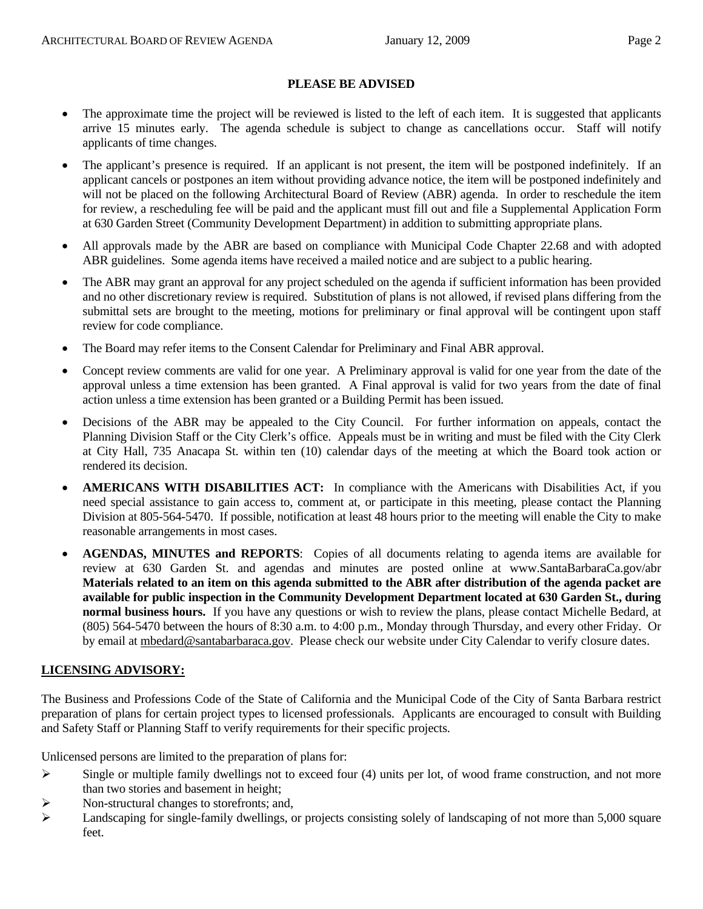#### **PLEASE BE ADVISED**

- The approximate time the project will be reviewed is listed to the left of each item. It is suggested that applicants arrive 15 minutes early. The agenda schedule is subject to change as cancellations occur. Staff will notify applicants of time changes.
- The applicant's presence is required. If an applicant is not present, the item will be postponed indefinitely. If an applicant cancels or postpones an item without providing advance notice, the item will be postponed indefinitely and will not be placed on the following Architectural Board of Review (ABR) agenda. In order to reschedule the item for review, a rescheduling fee will be paid and the applicant must fill out and file a Supplemental Application Form at 630 Garden Street (Community Development Department) in addition to submitting appropriate plans.
- All approvals made by the ABR are based on compliance with Municipal Code Chapter 22.68 and with adopted ABR guidelines. Some agenda items have received a mailed notice and are subject to a public hearing.
- The ABR may grant an approval for any project scheduled on the agenda if sufficient information has been provided and no other discretionary review is required. Substitution of plans is not allowed, if revised plans differing from the submittal sets are brought to the meeting, motions for preliminary or final approval will be contingent upon staff review for code compliance.
- The Board may refer items to the Consent Calendar for Preliminary and Final ABR approval.
- Concept review comments are valid for one year. A Preliminary approval is valid for one year from the date of the approval unless a time extension has been granted. A Final approval is valid for two years from the date of final action unless a time extension has been granted or a Building Permit has been issued.
- Decisions of the ABR may be appealed to the City Council. For further information on appeals, contact the Planning Division Staff or the City Clerk's office. Appeals must be in writing and must be filed with the City Clerk at City Hall, 735 Anacapa St. within ten (10) calendar days of the meeting at which the Board took action or rendered its decision.
- **AMERICANS WITH DISABILITIES ACT:** In compliance with the Americans with Disabilities Act, if you need special assistance to gain access to, comment at, or participate in this meeting, please contact the Planning Division at 805-564-5470. If possible, notification at least 48 hours prior to the meeting will enable the City to make reasonable arrangements in most cases.
- **AGENDAS, MINUTES and REPORTS**: Copies of all documents relating to agenda items are available for review at 630 Garden St. and agendas and minutes are posted online at [www.SantaBarbaraCa.gov/abr](http://www.santabarbaraca.gov/abr) **Materials related to an item on this agenda submitted to the ABR after distribution of the agenda packet are available for public inspection in the Community Development Department located at 630 Garden St., during normal business hours.** If you have any questions or wish to review the plans, please contact Michelle Bedard, at (805) 564-5470 between the hours of 8:30 a.m. to 4:00 p.m., Monday through Thursday, and every other Friday. Or by email at [mbedard@santabarbaraca.gov](mailto:mbedard@santabarbaraca.gov). Please check our website under City Calendar to verify closure dates.

#### **LICENSING ADVISORY:**

The Business and Professions Code of the State of California and the Municipal Code of the City of Santa Barbara restrict preparation of plans for certain project types to licensed professionals. Applicants are encouraged to consult with Building and Safety Staff or Planning Staff to verify requirements for their specific projects.

Unlicensed persons are limited to the preparation of plans for:

- $\triangleright$  Single or multiple family dwellings not to exceed four (4) units per lot, of wood frame construction, and not more than two stories and basement in height;
- ¾ Non-structural changes to storefronts; and,
- $\blacktriangleright$  Landscaping for single-family dwellings, or projects consisting solely of landscaping of not more than 5,000 square feet.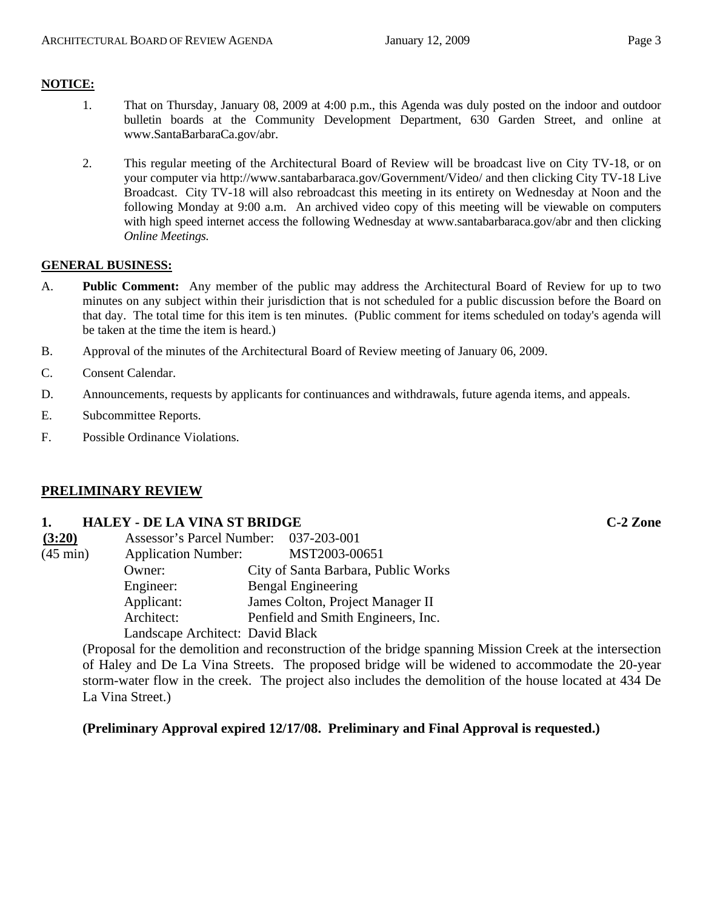### **NOTICE:**

- 1. That on Thursday, January 08, 2009 at 4:00 p.m., this Agenda was duly posted on the indoor and outdoor bulletin boards at the Community Development Department, 630 Garden Street, and online at [www.SantaBarbaraCa.gov/abr.](http://www.santabarbaraca.gov/abr)
- 2. This regular meeting of the Architectural Board of Review will be broadcast live on City TV-18, or on your computer via <http://www.santabarbaraca.gov/Government/Video/> and then clicking City TV-18 Live Broadcast. City TV-18 will also rebroadcast this meeting in its entirety on Wednesday at Noon and the following Monday at 9:00 a.m. An archived video copy of this meeting will be viewable on computers with high speed internet access the following Wednesday at [www.santabarbaraca.gov/abr](http://www.santabarbaraca.gov/abr) and then clicking *Online Meetings.*

#### **GENERAL BUSINESS:**

- A. **Public Comment:** Any member of the public may address the Architectural Board of Review for up to two minutes on any subject within their jurisdiction that is not scheduled for a public discussion before the Board on that day. The total time for this item is ten minutes. (Public comment for items scheduled on today's agenda will be taken at the time the item is heard.)
- B. Approval of the minutes of the Architectural Board of Review meeting of January 06, 2009.
- C. Consent Calendar.
- D. Announcements, requests by applicants for continuances and withdrawals, future agenda items, and appeals.
- E. Subcommittee Reports.
- F. Possible Ordinance Violations.

### **PRELIMINARY REVIEW**

#### **1. HALEY - DE LA VINA ST BRIDGE C-2 Zone**

| (3:20)             | Assessor's Parcel Number: 037-203-001 |                                     |
|--------------------|---------------------------------------|-------------------------------------|
| $(45 \text{ min})$ | <b>Application Number:</b>            | MST2003-00651                       |
|                    | Owner:                                | City of Santa Barbara, Public Works |
|                    | Engineer:                             | <b>Bengal Engineering</b>           |
|                    | Applicant:                            | James Colton, Project Manager II    |
|                    | Architect:                            | Penfield and Smith Engineers, Inc.  |
|                    | Landscape Architect: David Black      |                                     |

(Proposal for the demolition and reconstruction of the bridge spanning Mission Creek at the intersection of Haley and De La Vina Streets. The proposed bridge will be widened to accommodate the 20-year storm-water flow in the creek. The project also includes the demolition of the house located at 434 De La Vina Street.)

**(Preliminary Approval expired 12/17/08. Preliminary and Final Approval is requested.)**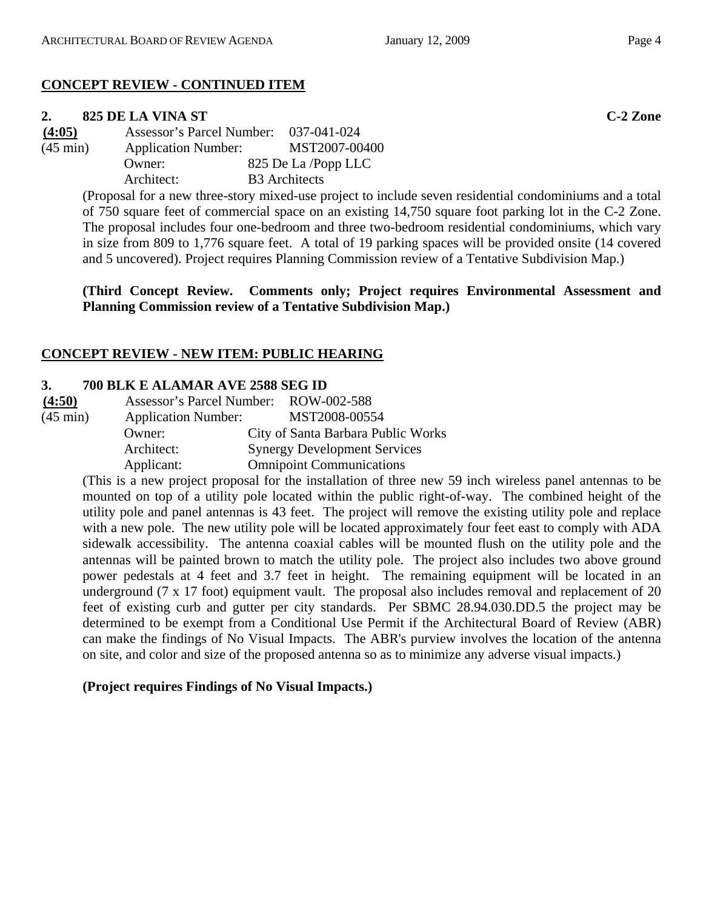# **CONCEPT REVIEW - CONTINUED ITEM**

# **2. 825 DE LA VINA ST C-2 Zone**

**(4:05)** Assessor's Parcel Number: 037-041-024 (45 min) Application Number: MST2007-00400 Owner: 825 De La /Popp LLC Architect: B3 Architects

> (Proposal for a new three-story mixed-use project to include seven residential condominiums and a total of 750 square feet of commercial space on an existing 14,750 square foot parking lot in the C-2 Zone. The proposal includes four one-bedroom and three two-bedroom residential condominiums, which vary in size from 809 to 1,776 square feet. A total of 19 parking spaces will be provided onsite (14 covered and 5 uncovered). Project requires Planning Commission review of a Tentative Subdivision Map.)

> **(Third Concept Review. Comments only; Project requires Environmental Assessment and Planning Commission review of a Tentative Subdivision Map.)**

# **CONCEPT REVIEW - NEW ITEM: PUBLIC HEARING**

## **3. 700 BLK E ALAMAR AVE 2588 SEG ID**

| (4:50)             |                            | Assessor's Parcel Number: ROW-002-588 |
|--------------------|----------------------------|---------------------------------------|
| $(45 \text{ min})$ | <b>Application Number:</b> | MST2008-00554                         |
|                    | Owner:                     | City of Santa Barbara Public Works    |
|                    | Architect:                 | <b>Synergy Development Services</b>   |
|                    | Applicant:                 | <b>Omnipoint Communications</b>       |

(This is a new project proposal for the installation of three new 59 inch wireless panel antennas to be mounted on top of a utility pole located within the public right-of-way. The combined height of the utility pole and panel antennas is 43 feet. The project will remove the existing utility pole and replace with a new pole. The new utility pole will be located approximately four feet east to comply with ADA sidewalk accessibility. The antenna coaxial cables will be mounted flush on the utility pole and the antennas will be painted brown to match the utility pole. The project also includes two above ground power pedestals at 4 feet and 3.7 feet in height. The remaining equipment will be located in an underground (7 x 17 foot) equipment vault. The proposal also includes removal and replacement of 20 feet of existing curb and gutter per city standards. Per SBMC 28.94.030.DD.5 the project may be determined to be exempt from a Conditional Use Permit if the Architectural Board of Review (ABR) can make the findings of No Visual Impacts. The ABR's purview involves the location of the antenna on site, and color and size of the proposed antenna so as to minimize any adverse visual impacts.)

# **(Project requires Findings of No Visual Impacts.)**